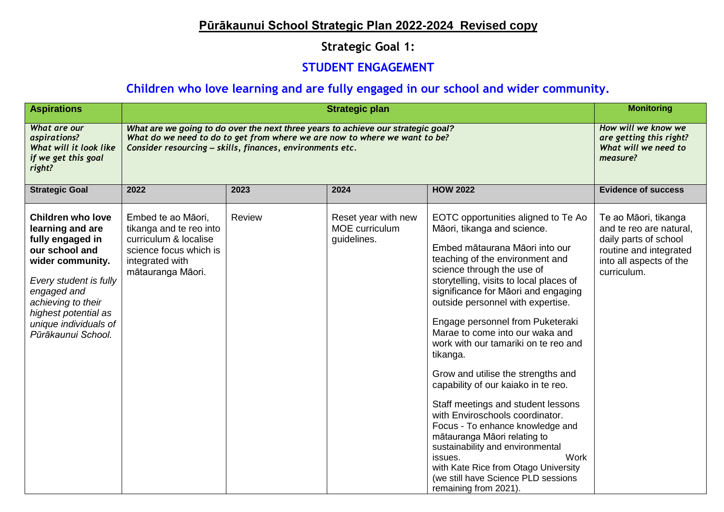## **Pūrākaunui School Strategic Plan 2022-2024 Revised copy**

## **Strategic Goal 1:**

#### **STUDENT ENGAGEMENT**

## **Children who love learning and are fully engaged in our school and wider community.**

| <b>Aspirations</b>                                                                                                                                                                                                                           | <b>Strategic plan</b>                                                                                                                                                                                                       |        |                                                      |                                                                                                                                                                                                                                                                                                                                                                                                                                                                                                                                                                                                                                                                                                                                                                                                                  | <b>Monitoring</b>                                                                                                                            |
|----------------------------------------------------------------------------------------------------------------------------------------------------------------------------------------------------------------------------------------------|-----------------------------------------------------------------------------------------------------------------------------------------------------------------------------------------------------------------------------|--------|------------------------------------------------------|------------------------------------------------------------------------------------------------------------------------------------------------------------------------------------------------------------------------------------------------------------------------------------------------------------------------------------------------------------------------------------------------------------------------------------------------------------------------------------------------------------------------------------------------------------------------------------------------------------------------------------------------------------------------------------------------------------------------------------------------------------------------------------------------------------------|----------------------------------------------------------------------------------------------------------------------------------------------|
| What are our<br>aspirations?<br>What will it look like<br>if we get this goal<br>right?                                                                                                                                                      | What are we going to do over the next three years to achieve our strategic goal?<br>What do we need to do to get from where we are now to where we want to be?<br>Consider resourcing - skills, finances, environments etc. |        |                                                      |                                                                                                                                                                                                                                                                                                                                                                                                                                                                                                                                                                                                                                                                                                                                                                                                                  | How will we know we<br>are getting this right?<br>What will we need to<br>measure?                                                           |
| <b>Strategic Goal</b>                                                                                                                                                                                                                        | 2022                                                                                                                                                                                                                        | 2023   | 2024                                                 | <b>HOW 2022</b>                                                                                                                                                                                                                                                                                                                                                                                                                                                                                                                                                                                                                                                                                                                                                                                                  | <b>Evidence of success</b>                                                                                                                   |
| <b>Children who love</b><br>learning and are<br>fully engaged in<br>our school and<br>wider community.<br>Every student is fully<br>engaged and<br>achieving to their<br>highest potential as<br>unique individuals of<br>Pūrākaunui School. | Embed te ao Māori,<br>tikanga and te reo into<br>curriculum & localise<br>science focus which is<br>integrated with<br>mātauranga Māori.                                                                                    | Review | Reset year with new<br>MOE curriculum<br>guidelines. | EOTC opportunities aligned to Te Ao<br>Māori, tikanga and science.<br>Embed mātaurana Māori into our<br>teaching of the environment and<br>science through the use of<br>storytelling, visits to local places of<br>significance for Māori and engaging<br>outside personnel with expertise.<br>Engage personnel from Puketeraki<br>Marae to come into our waka and<br>work with our tamariki on te reo and<br>tikanga.<br>Grow and utilise the strengths and<br>capability of our kaiako in te reo.<br>Staff meetings and student lessons<br>with Enviroschools coordinator.<br>Focus - To enhance knowledge and<br>mātauranga Māori relating to<br>sustainability and environmental<br>Work<br>issues.<br>with Kate Rice from Otago University<br>(we still have Science PLD sessions<br>remaining from 2021). | Te ao Māori, tikanga<br>and te reo are natural,<br>daily parts of school<br>routine and integrated<br>into all aspects of the<br>curriculum. |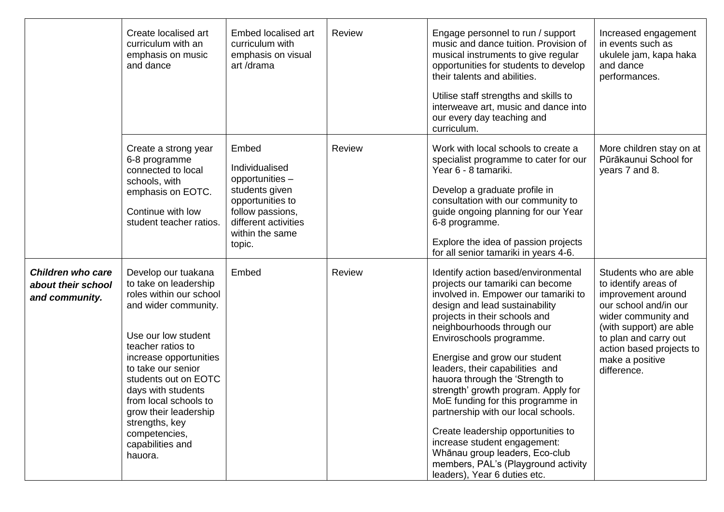|                                                                  | Create localised art<br>curriculum with an<br>emphasis on music<br>and dance                                                                                                                                                                                                                                                                                  | Embed localised art<br>curriculum with<br>emphasis on visual<br>art/drama                                                                                 | <b>Review</b> | Engage personnel to run / support<br>music and dance tuition. Provision of<br>musical instruments to give regular<br>opportunities for students to develop<br>their talents and abilities.<br>Utilise staff strengths and skills to<br>interweave art, music and dance into<br>our every day teaching and<br>curriculum.                                                                                                                                                                                                                                                                                                                              | Increased engagement<br>in events such as<br>ukulele jam, kapa haka<br>and dance<br>performances.                                                                                                                                     |
|------------------------------------------------------------------|---------------------------------------------------------------------------------------------------------------------------------------------------------------------------------------------------------------------------------------------------------------------------------------------------------------------------------------------------------------|-----------------------------------------------------------------------------------------------------------------------------------------------------------|---------------|-------------------------------------------------------------------------------------------------------------------------------------------------------------------------------------------------------------------------------------------------------------------------------------------------------------------------------------------------------------------------------------------------------------------------------------------------------------------------------------------------------------------------------------------------------------------------------------------------------------------------------------------------------|---------------------------------------------------------------------------------------------------------------------------------------------------------------------------------------------------------------------------------------|
|                                                                  | Create a strong year<br>6-8 programme<br>connected to local<br>schools, with<br>emphasis on EOTC.<br>Continue with low<br>student teacher ratios.                                                                                                                                                                                                             | Embed<br>Individualised<br>opportunities -<br>students given<br>opportunities to<br>follow passions,<br>different activities<br>within the same<br>topic. | Review        | Work with local schools to create a<br>specialist programme to cater for our<br>Year 6 - 8 tamariki.<br>Develop a graduate profile in<br>consultation with our community to<br>guide ongoing planning for our Year<br>6-8 programme.<br>Explore the idea of passion projects<br>for all senior tamariki in years 4-6.                                                                                                                                                                                                                                                                                                                                 | More children stay on at<br>Pūrākaunui School for<br>years 7 and 8.                                                                                                                                                                   |
| <b>Children who care</b><br>about their school<br>and community. | Develop our tuakana<br>to take on leadership<br>roles within our school<br>and wider community.<br>Use our low student<br>teacher ratios to<br>increase opportunities<br>to take our senior<br>students out on EOTC<br>days with students<br>from local schools to<br>grow their leadership<br>strengths, key<br>competencies,<br>capabilities and<br>hauora. | Embed                                                                                                                                                     | Review        | Identify action based/environmental<br>projects our tamariki can become<br>involved in. Empower our tamariki to<br>design and lead sustainability<br>projects in their schools and<br>neighbourhoods through our<br>Enviroschools programme.<br>Energise and grow our student<br>leaders, their capabilities and<br>hauora through the 'Strength to<br>strength' growth program. Apply for<br>MoE funding for this programme in<br>partnership with our local schools.<br>Create leadership opportunities to<br>increase student engagement:<br>Whānau group leaders, Eco-club<br>members, PAL's (Playground activity<br>leaders), Year 6 duties etc. | Students who are able<br>to identify areas of<br>improvement around<br>our school and/in our<br>wider community and<br>(with support) are able<br>to plan and carry out<br>action based projects to<br>make a positive<br>difference. |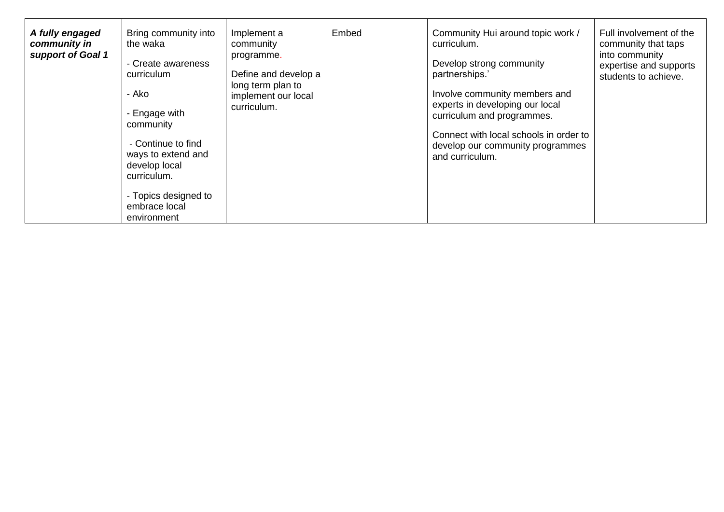| A fully engaged<br>community in<br>support of Goal 1 | Bring community into<br>the waka<br>- Create awareness<br>curriculum<br>- Ako<br>- Engage with<br>community<br>- Continue to find<br>ways to extend and<br>develop local<br>curriculum.<br>- Topics designed to<br>embrace local<br>environment | Implement a<br>community<br>programme.<br>Define and develop a<br>long term plan to<br>implement our local<br>curriculum. | Embed | Community Hui around topic work /<br>curriculum.<br>Develop strong community<br>partnerships.'<br>Involve community members and<br>experts in developing our local<br>curriculum and programmes.<br>Connect with local schools in order to<br>develop our community programmes<br>and curriculum. | Full involvement of the<br>community that taps<br>into community<br>expertise and supports<br>students to achieve. |
|------------------------------------------------------|-------------------------------------------------------------------------------------------------------------------------------------------------------------------------------------------------------------------------------------------------|---------------------------------------------------------------------------------------------------------------------------|-------|---------------------------------------------------------------------------------------------------------------------------------------------------------------------------------------------------------------------------------------------------------------------------------------------------|--------------------------------------------------------------------------------------------------------------------|
|------------------------------------------------------|-------------------------------------------------------------------------------------------------------------------------------------------------------------------------------------------------------------------------------------------------|---------------------------------------------------------------------------------------------------------------------------|-------|---------------------------------------------------------------------------------------------------------------------------------------------------------------------------------------------------------------------------------------------------------------------------------------------------|--------------------------------------------------------------------------------------------------------------------|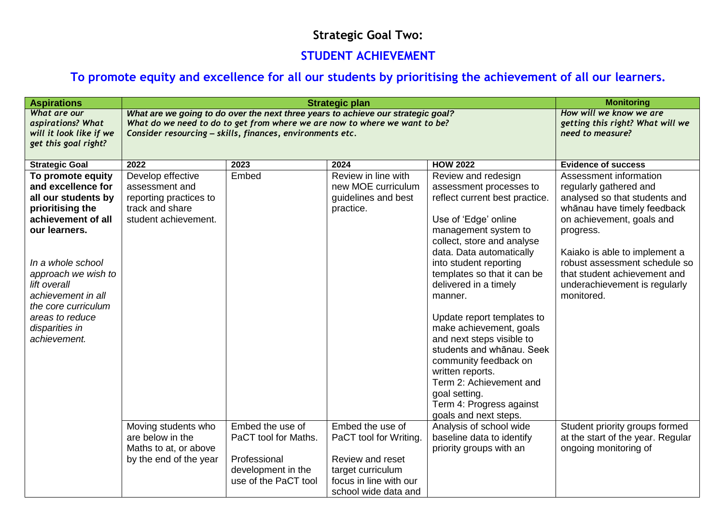## **Strategic Goal Two:**

#### **STUDENT ACHIEVEMENT**

# **To promote equity and excellence for all our students by prioritising the achievement of all our learners.**

| <b>Aspirations</b>                                                                                                                                                                                                                                                                      |                                                                                                                                                                                                                                                      | <b>Monitoring</b>                                                                                      |                                                                                                                                       |                                                                                                                                                                                                                                                                                                                                                                                                                                                                                                     |                                                                                                                                                                                                                                                                                                             |
|-----------------------------------------------------------------------------------------------------------------------------------------------------------------------------------------------------------------------------------------------------------------------------------------|------------------------------------------------------------------------------------------------------------------------------------------------------------------------------------------------------------------------------------------------------|--------------------------------------------------------------------------------------------------------|---------------------------------------------------------------------------------------------------------------------------------------|-----------------------------------------------------------------------------------------------------------------------------------------------------------------------------------------------------------------------------------------------------------------------------------------------------------------------------------------------------------------------------------------------------------------------------------------------------------------------------------------------------|-------------------------------------------------------------------------------------------------------------------------------------------------------------------------------------------------------------------------------------------------------------------------------------------------------------|
| What are our<br>aspirations? What<br>will it look like if we<br>get this goal right?                                                                                                                                                                                                    | <b>Strategic plan</b><br>What are we going to do over the next three years to achieve our strategic goal?<br>What do we need to do to get from where we are now to where we want to be?<br>Consider resourcing - skills, finances, environments etc. |                                                                                                        |                                                                                                                                       |                                                                                                                                                                                                                                                                                                                                                                                                                                                                                                     | How will we know we are<br>getting this right? What will we<br>need to measure?                                                                                                                                                                                                                             |
| <b>Strategic Goal</b>                                                                                                                                                                                                                                                                   | 2022                                                                                                                                                                                                                                                 | 2023                                                                                                   | 2024                                                                                                                                  | <b>HOW 2022</b>                                                                                                                                                                                                                                                                                                                                                                                                                                                                                     | <b>Evidence of success</b>                                                                                                                                                                                                                                                                                  |
| To promote equity<br>and excellence for<br>all our students by<br>prioritising the<br>achievement of all<br>our learners.<br>In a whole school<br>approach we wish to<br>lift overall<br>achievement in all<br>the core curriculum<br>areas to reduce<br>disparities in<br>achievement. | Develop effective<br>assessment and<br>reporting practices to<br>track and share<br>student achievement.                                                                                                                                             | Embed                                                                                                  | Review in line with<br>new MOE curriculum<br>guidelines and best<br>practice.                                                         | Review and redesign<br>assessment processes to<br>reflect current best practice.<br>Use of 'Edge' online<br>management system to<br>collect, store and analyse<br>data. Data automatically<br>into student reporting<br>templates so that it can be<br>delivered in a timely<br>manner.<br>Update report templates to<br>make achievement, goals<br>and next steps visible to<br>students and whānau. Seek<br>community feedback on<br>written reports.<br>Term 2: Achievement and<br>goal setting. | Assessment information<br>regularly gathered and<br>analysed so that students and<br>whānau have timely feedback<br>on achievement, goals and<br>progress.<br>Kaiako is able to implement a<br>robust assessment schedule so<br>that student achievement and<br>underachievement is regularly<br>monitored. |
|                                                                                                                                                                                                                                                                                         |                                                                                                                                                                                                                                                      |                                                                                                        |                                                                                                                                       | Term 4: Progress against<br>goals and next steps.                                                                                                                                                                                                                                                                                                                                                                                                                                                   |                                                                                                                                                                                                                                                                                                             |
|                                                                                                                                                                                                                                                                                         | Moving students who<br>are below in the<br>Maths to at, or above<br>by the end of the year                                                                                                                                                           | Embed the use of<br>PaCT tool for Maths.<br>Professional<br>development in the<br>use of the PaCT tool | Embed the use of<br>PaCT tool for Writing.<br>Review and reset<br>target curriculum<br>focus in line with our<br>school wide data and | Analysis of school wide<br>baseline data to identify<br>priority groups with an                                                                                                                                                                                                                                                                                                                                                                                                                     | Student priority groups formed<br>at the start of the year. Regular<br>ongoing monitoring of                                                                                                                                                                                                                |